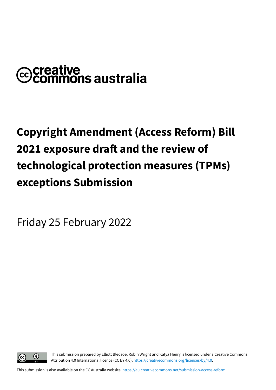# **@creative<br>©commons australia**

# **Copyright Amendment (Access Reform) Bill 2021 exposure draft and the review of technological protection measures (TPMs) exceptions Submission**

Friday 25 February 2022



This submission prepared by Elliott Bledsoe, Robin Wright and Katya Henry is licensed under a Creative [Commons](https://creativecommons.org/licenses/by/4.0) Attribution 4.0 [International](https://creativecommons.org/licenses/by/4.0) licence (CC BY 4.0), [https://creativecommons.org/licenses/by/4.0.](https://creativecommons.org/licenses/by/4.0)

This submission is also available on the CC Australia website: <https://au.creativecommons.net/submission-access-reform>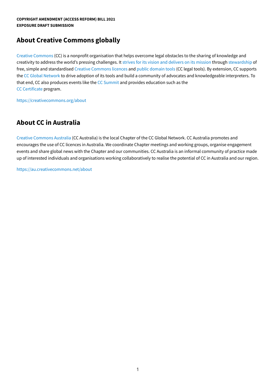#### **About Creative Commons globally**

Creative [Commons](https://creativecommons.org/) (CC) is a nonprofit organisation that helps overcome legal obstacles to the sharing of knowledge and creativity to address the world's pressing challenges. It strives for its vision and [delivers](https://drive.google.com/file/d/10rQDv5Hzuss38oi1ovGuoxHagmFzqn_f/view) on its mission through [stewardship](https://creativecommons.org/stewardship/) of free, simple and standardised Creative [Commons](https://creativecommons.org/about/cclicenses/) licences and public [domain](https://creativecommons.org/share-your-work/public-domain/) tools (CC legal tools). By extension, CC supports the CC Global [Network](https://network.creativecommons.org/) to drive adoption of its tools and build a community of advocates and knowledgeable interpreters. To that end, CC also produces events like the CC [Summit](https://summit.creativecommons.org/) and provides education such as the CC [Certificate](https://certificates.creativecommons.org/) program.

<https://creativecommons.org/about>

## **About CC in Australia**

Creative [Commons](https://au.creativecommons.net/) Australia (CC Australia) is the local Chapter of the CC Global Network. CC Australia promotes and encourages the use of CC licences in Australia. We coordinate Chapter meetings and working groups, organise engagement events and share global news with the Chapter and our communities. CC Australia is an informal community of practice made up of interested individuals and organisations working collaboratively to realise the potential of CC in Australia and our region.

<https://au.creativecommons.net/about>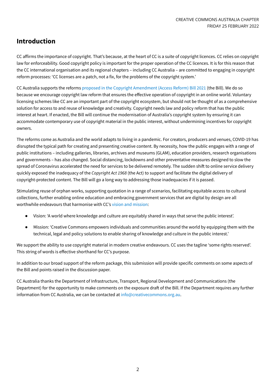# **Introduction**

CC affirms the importance of copyright. That's because, at the heart of CC is a suite of copyright licences. CC relies on copyright law for enforceability. Good copyright policy is important for the proper operation of the CC licences. It is for this reason that the CC international organisation and its regional chapters – including CC Australia – are committed to engaging in copyright reform processes: 'CC licenses are a patch, not a fix, for the problems of the copyright system.'

CC Australia supports the reforms proposed in the Copyright [Amendment](https://www.infrastructure.gov.au/have-your-say/have-your-say-draft-copyright-reform-legislation) (Access Reform) Bill 2021 (the Bill). We do so because we encourage copyright law reform that ensures the effective operation of copyright in an online world. Voluntary licensing schemes like CC are an important part of the copyright ecosystem, but should not be thought of as a comprehensive solution for access to and reuse of knowledge and creativity. Copyright needs law and policy reform that has the public interest at heart. If enacted, the Bill will continue the modernisation of Australia's copyright system by ensuring it can accommodate contemporary use of copyright material in the public interest, without undermining incentives for copyright owners.

The reforms come as Australia and the world adapts to living in a pandemic. For creators, producers and venues, COVID-19 has disrupted the typical path for creating and presenting creative content. By necessity, how the public engages with a range of public institutions – including galleries, libraries, archives and museums (GLAM), education providers, research organisations and governments – has also changed. Social distancing, lockdowns and other preventative measures designed to slow the spread of Coronavirus accelerated the need for services to be delivered remotely. The sudden shift to online service delivery quickly exposed the inadequacy of the *Copyright Act 1968* (the Act) to support and facilitate the digital delivery of copyright-protected content. The Bill will go a long way to addressing those inadequacies if it is passed.

Stimulating reuse of orphan works, supporting quotation in a range of scenarios, facilitating equitable access to cultural collections, further enabling online education and embracing government services that are digital by design are all worthwhile endeavours that harmonise with CC's vision and [mission](https://drive.google.com/file/d/10rQDv5Hzuss38oi1ovGuoxHagmFzqn_f/view):

- Vision: 'A world where knowledge and culture are equitably shared in ways that serve the public interest'.
- Mission: 'Creative Commons empowers individuals and communities around the world by equipping them with the technical, legal and policy solutions to enable sharing of knowledge and culture in the public interest.'

We support the ability to use copyright material in modern creative endeavours. CC uses the tagline 'some rights reserved'. This string of words is effective shorthand for CC's purpose.

In addition to our broad support of the reform package, this submission will provide specific comments on some aspects of the Bill and points raised in the discussion paper.

CC Australia thanks the Department of Infrastructure, Transport, Regional Development and Communications (the Department) for the opportunity to make comments on the exposure draft of the Bill. If the Department requires any further information from CC Australia, we can be contacted at [info@creativecommons.org.au](mailto:info@creativecommons.org.au).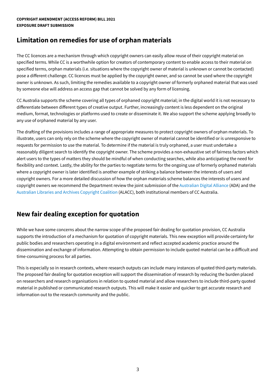#### **COPYRIGHT AMENDMENT (ACCESS REFORM) BILL 2021 EXPOSURE DRAFT SUBMISSION**

#### **Limitation on remedies for use of orphan materials**

The CC licences are a mechanism through which copyright owners can easily allow reuse of their copyright material on specified terms. While CC is a worthwhile option for creators of contemporary content to enable access to their material on specified terms, orphan materials (i.e. situations where the copyright owner of material is unknown or cannot be contacted) pose a different challenge. CC licences must be applied by the copyright owner, and so cannot be used where the copyright owner is unknown. As such, limiting the remedies available to a copyright owner of formerly orphaned material that was used by someone else will address an access gap that cannot be solved by any form of licensing.

CC Australia supports the scheme covering all types of orphaned copyright material; in the digital world it is not necessary to differentiate between different types of creative output. Further, increasingly content is less dependent on the original medium, format, technologies or platforms used to create or disseminate it. We also support the scheme applying broadly to any use of orphaned material by any user.

The drafting of the provisions includes a range of appropriate measures to protect copyright owners of orphan materials. To illustrate, users can only rely on the scheme where the copyright owner of material cannot be identified or is unresponsive to requests for permission to use the material. To determine if the material is truly orphaned, a user must undertake a reasonably diligent search to identify the copyright owner. The scheme provides a non-exhaustive set of fairness factors which alert users to the types of matters they should be mindful of when conducting searches, while also anticipating the need for flexibility and context. Lastly, the ability for the parties to negotiate terms for the ongoing use of formerly orphaned materials where a copyright owner is later identified is another example of striking a balance between the interests of users and copyright owners. For a more detailed discussion of how the orphan materials scheme balances the interests of users and copyright owners we recommend the Department review the joint submission of the [Australian](https://digital.org.au/) Digital Alliance (ADA) and the [Australian](https://alacc.org.au/) Libraries and Archives Copyright Coalition (ALACC), both institutional members of CC Australia.

## **New fair dealing exception for quotation**

While we have some concerns about the narrow scope of the proposed fair dealing for quotation provision, CC Australia supports the introduction of a mechanism for quotation of copyright materials. This new exception will provide certainty for public bodies and researchers operating in a digital environment and reflect accepted academic practice around the dissemination and exchange of information. Attempting to obtain permission to include quoted material can be a difficult and time-consuming process for all parties.

This is especially so in research contexts, where research outputs can include many instances of quoted third-party materials. The proposed fair dealing for quotation exception will support the dissemination of research by reducing the burden placed on researchers and research organisations in relation to quoted material and allow researchers to include third-party quoted material in published or communicated research outputs. This will make it easier and quicker to get accurate research and information out to the research community and the public.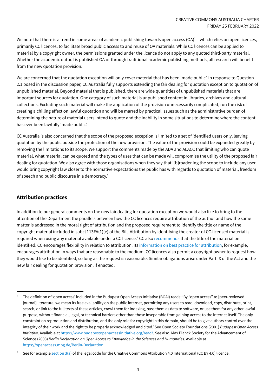We note that there is a trend in some areas of academic publishing towards open access (OA) $^1$  – which relies on open licences, primarily CC licences, to facilitate broad public access to and reuse of OA materials. While CC licences can be applied to material by a copyright owner, the permissions granted under the licence do not apply to any quoted third-party material. Whether the academic output is published OA or through traditional academic publishing methods, all research will benefit from the new quotation provision.

We are concerned that the quotation exception will only cover material that has been 'made public'. In response to Question 2.1 posed in the discussion paper, CC Australia fully supports extending the fair dealing for quotation exception to quotation of unpublished material. Beyond material that is published, there are wide quantities of unpublished materials that are important sources for quotation. One category of such material is unpublished content in libraries, archives and cultural collections. Excluding such material will make the application of the provision unnecessarily complicated, run the risk of creating a chilling effect on lawful quotation and will be marred by practical issues such as the administrative burden of determining the nature of material users intend to quote and the inability in some situations to determine where the content has ever been lawfully 'made public'.

CC Australia is also concerned that the scope of the proposed exception is limited to a set of identified users only, leaving quotation by the public outside the protection of the new provision. The value of the provision could be expanded greatly by removing the limitations to its scope. We support the comments made by the ADA and ALACC that limiting who can quote material, what material can be quoted and the types of uses that can be made will compromise the utility of the proposed fair dealing for quotation. We also agree with those organisations when they say that '[b]roadening the scope to include any user would bring copyright law closer to the normative expectations the public has with regards to quotation of material, freedom of speech and public discourse in a democracy.'

#### **Attribution practices**

In addition to our general comments on the new fair dealing for quotation exception we would also like to bring to the attention of the Department the parallels between how the CC licences require attribution of the author and how the same matter is addressed in the moral right of attribution and the proposed requirement to identify the title or name of the copyright material included in subcl 113FA(1)(e) of the Bill. Attribution by identifying the creator of CC-licensed material is required when using any material available under a CC licence.<sup>2</sup> CC also [recommends](https://creativecommons.org/use-remix/attribution/) that the title of the material be identified. CC encourages flexibility in relation to attribution. Its [information](https://wiki.creativecommons.org/wiki/best_practices_for_attribution) on best practice for attribution, for example, encourages attribution in ways that are reasonable to the medium. CC licences also permit a copyright owner to request how they would like to be identified, so long as the request is reasonable. Similar obligations arise under Part IX of the Act and the new fair dealing for quotation provision, if enacted.

 $1$  The definition of 'open access' included in the Budapest Open Access Initiative (BOAI) reads: 'By "open access" to [peer-reviewed journal] literature, we mean its free availability on the public internet, permitting any users to read, download, copy, distribute, print, search, or link to the full texts of these articles, crawl them for indexing, pass them as data to software, or use them for any other lawful purpose, without financial, legal, or technical barriers other than those inseparable from gaining access to the internet itself. The only constraint on reproduction and distribution, and the only role for copyright in this domain, should be to give authors control over the integrity of their work and the right to be properly acknowledged and cited.' See Open Society Foundations (2001) *Budapest Open Access Initiative*. Available at [https://www.budapestopenaccessinitiative.org/read/.](https://www.budapestopenaccessinitiative.org/read/) See also, Max Planck Society for the Advancement of Science (2003) *Berlin Declaration on Open Access to Knowledge in the Sciences and Humanities*. Available at <https://openaccess.mpg.de/Berlin-Declaration>.

See for example [section](https://creativecommons.org/licenses/by/4.0/legalcode#s3a)  $3(a)$  of the legal code for the Creative Commons Attribution 4.0 International (CC BY 4.0) licence.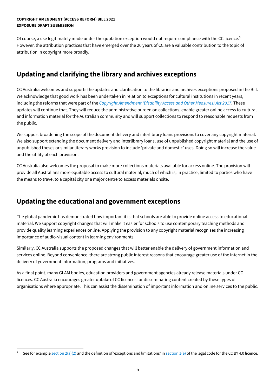#### **COPYRIGHT AMENDMENT (ACCESS REFORM) BILL 2021 EXPOSURE DRAFT SUBMISSION**

Of course, a use legitimately made under the quotation exception would not require compliance with the CC licence.<sup>3</sup> However, the attribution practices that have emerged over the 20 years of CC are a valuable contribution to the topic of attribution in copyright more broadly.

# **Updating and clarifying the library and archives exceptions**

CC Australia welcomes and supports the updates and clarification to the libraries and archives exceptions proposed in the Bill. We acknowledge that good work has been undertaken in relation to exceptions for cultural institutions in recent years, including the reforms that were part of the *Copyright [Amendment](https://www.legislation.gov.au/Details/C2017A00049) (Disability Access and Other Measures) Act 2017*. These updates will continue that. They will reduce the administrative burden on collections, enable greater online access to cultural and information material for the Australian community and will support collections to respond to reasonable requests from the public.

We support broadening the scope of the document delivery and interlibrary loans provisions to cover any copyright material. We also support extending the document delivery and interlibrary loans, use of unpublished copyright material and the use of unpublished theses or similar literary works provision to include 'private and domestic' uses. Doing so will increase the value and the utility of each provision.

CC Australia also welcomes the proposal to make more collections materials available for access online. The provision will provide all Australians more equitable access to cultural material, much of which is, in practice, limited to parties who have the means to travel to a capital city or a major centre to access materials onsite.

## **Updating the educational and government exceptions**

The global pandemic has demonstrated how important it is that schools are able to provide online access to educational material. We support copyright changes that will make it easier for schools to use contemporary teaching methods and provide quality learning experiences online. Applying the provision to any copyright material recognises the increasing importance of audio-visual content in learning environments.

Similarly, CC Australia supports the proposed changes that will better enable the delivery of government information and services online. Beyond convenience, there are strong public interest reasons that encourage greater use of the internet in the delivery of government information, programs and initiatives.

As a final point, many GLAM bodies, education providers and government agencies already release materials under CC licences. CC Australia encourages greater uptake of CC licences for disseminating content created by these types of organisations where appropriate. This can assist the dissemination of important information and online services to the public.

See for example [section](https://creativecommons.org/licenses/by/4.0/legalcode#s1e)  $2(a)(2)$  and the definition of 'exceptions and limitations' in section  $1(e)$  of the legal code for the CC BY 4.0 licence.